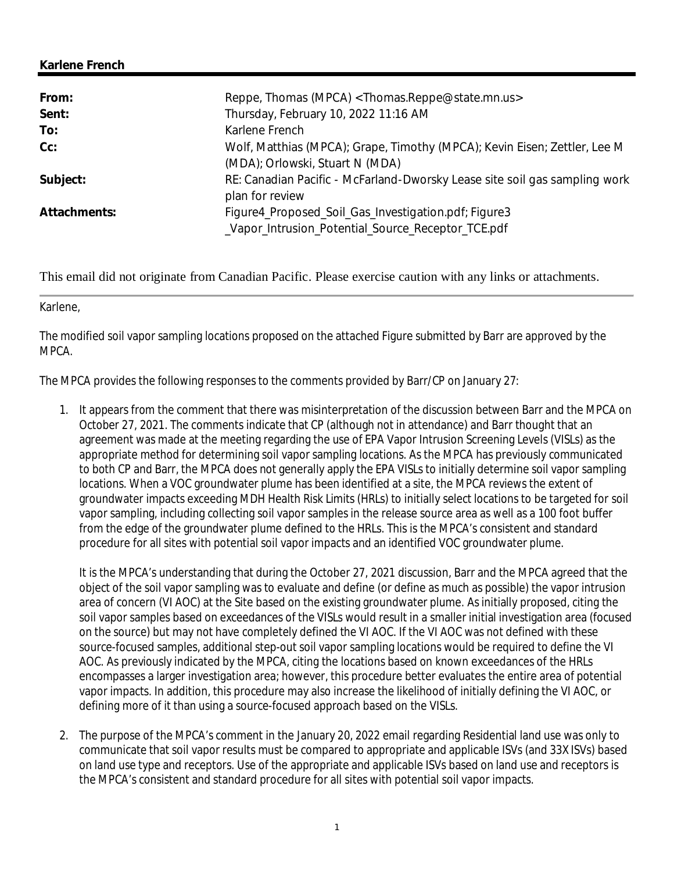## **Karlene French**

| From:        | Reppe, Thomas (MPCA) <thomas.reppe@state.mn.us></thomas.reppe@state.mn.us>                                   |
|--------------|--------------------------------------------------------------------------------------------------------------|
| Sent:        | Thursday, February 10, 2022 11:16 AM                                                                         |
| To:          | Karlene French                                                                                               |
| $Cc$ :       | Wolf, Matthias (MPCA); Grape, Timothy (MPCA); Kevin Eisen; Zettler, Lee M<br>(MDA); Orlowski, Stuart N (MDA) |
| Subject:     | RE: Canadian Pacific - McFarland-Dworsky Lease site soil gas sampling work<br>plan for review                |
| Attachments: | Figure4_Proposed_Soil_Gas_Investigation.pdf; Figure3<br>_Vapor_Intrusion_Potential_Source_Receptor_TCE.pdf   |

This email did not originate from Canadian Pacific. Please exercise caution with any links or attachments.

## Karlene,

The modified soil vapor sampling locations proposed on the attached Figure submitted by Barr are approved by the MPCA.

The MPCA provides the following responses to the comments provided by Barr/CP on January 27:

1. It appears from the comment that there was misinterpretation of the discussion between Barr and the MPCA on October 27, 2021. The comments indicate that CP (although not in attendance) and Barr thought that an agreement was made at the meeting regarding the use of EPA Vapor Intrusion Screening Levels (VISLs) as the appropriate method for determining soil vapor sampling locations. As the MPCA has previously communicated to both CP and Barr, the MPCA does not generally apply the EPA VISLs to initially determine soil vapor sampling locations. When a VOC groundwater plume has been identified at a site, the MPCA reviews the extent of groundwater impacts exceeding MDH Health Risk Limits (HRLs) to initially select locations to be targeted for soil vapor sampling, including collecting soil vapor samples in the release source area as well as a 100 foot buffer from the edge of the groundwater plume defined to the HRLs. This is the MPCA's consistent and standard procedure for all sites with potential soil vapor impacts and an identified VOC groundwater plume.

It is the MPCA's understanding that during the October 27, 2021 discussion, Barr and the MPCA agreed that the object of the soil vapor sampling was to evaluate and define (or define as much as possible) the vapor intrusion area of concern (VI AOC) at the Site based on the existing groundwater plume. As initially proposed, citing the soil vapor samples based on exceedances of the VISLs would result in a smaller initial investigation area (focused on the source) but may not have completely defined the VI AOC. If the VI AOC was not defined with these source-focused samples, additional step-out soil vapor sampling locations would be required to define the VI AOC. As previously indicated by the MPCA, citing the locations based on known exceedances of the HRLs encompasses a larger investigation area; however, this procedure better evaluates the entire area of potential vapor impacts. In addition, this procedure may also increase the likelihood of initially defining the VI AOC, or defining more of it than using a source-focused approach based on the VISLs.

2. The purpose of the MPCA's comment in the January 20, 2022 email regarding Residential land use was only to communicate that soil vapor results must be compared to appropriate and applicable ISVs (and 33X ISVs) based on land use type and receptors. Use of the appropriate and applicable ISVs based on land use and receptors is the MPCA's consistent and standard procedure for all sites with potential soil vapor impacts.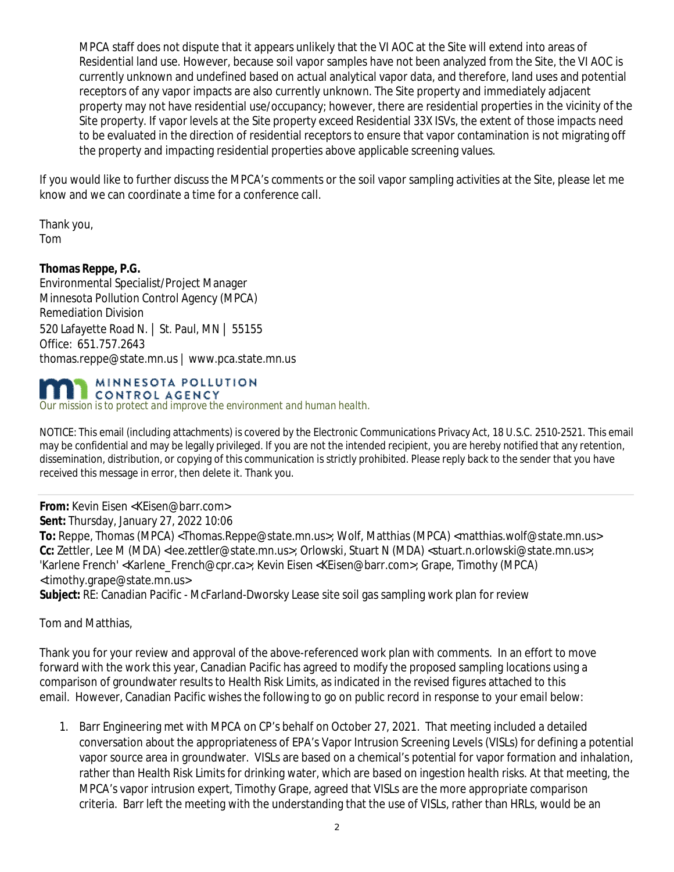MPCA staff does not dispute that it appears unlikely that the VI AOC at the Site will extend into areas of Residential land use. However, because soil vapor samples have not been analyzed from the Site, the VI AOC is currently unknown and undefined based on actual analytical vapor data, and therefore, land uses and potential receptors of any vapor impacts are also currently unknown. The Site property and immediately adjacent property may not have residential use/occupancy; however, there are residential properties in the vicinity of the Site property. If vapor levels at the Site property exceed Residential 33X ISVs, the extent of those impacts need to be evaluated in the direction of residential receptors to ensure that vapor contamination is not migrating off the property and impacting residential properties above applicable screening values.

If you would like to further discuss the MPCA's comments or the soil vapor sampling activities at the Site, please let me know and we can coordinate a time for a conference call.

Thank you, Tom

**Thomas Reppe, P.G.** Environmental Specialist/Project Manager Minnesota Pollution Control Agency (MPCA) Remediation Division 520 Lafayette Road N. | St. Paul, MN | 55155 Office: 651.757.2643 thomas.reppe@state.mn.us | www.pca.state.mn.us



*Our mission is to protect and improve the environment and human health.*

NOTICE: This email (including attachments) is covered by the Electronic Communications Privacy Act, 18 U.S.C. 2510-2521. This email may be confidential and may be legally privileged. If you are not the intended recipient, you are hereby notified that any retention, dissemination, distribution, or copying of this communication is strictly prohibited. Please reply back to the sender that you have received this message in error, then delete it. Thank you.

**From:** Kevin Eisen <KEisen@barr.com> **Sent:** Thursday, January 27, 2022 10:06 To: Reppe, Thomas (MPCA) <Thomas.Reppe@state.mn.us>; Wolf, Matthias (MPCA) <matthias.wolf@state.mn.us> **Cc:** Zettler, Lee M (MDA) <lee.zettler@state.mn.us>; Orlowski, Stuart N (MDA) <stuart.n.orlowski@state.mn.us>; 'Karlene French' <Karlene\_French@cpr.ca>; Kevin Eisen <KEisen@barr.com>; Grape, Timothy (MPCA) <timothy.grape@state.mn.us> **Subject:** RE: Canadian Pacific - McFarland-Dworsky Lease site soil gas sampling work plan for review

Tom and Matthias,

Thank you for your review and approval of the above-referenced work plan with comments. In an effort to move forward with the work this year, Canadian Pacific has agreed to modify the proposed sampling locations using a comparison of groundwater results to Health Risk Limits, as indicated in the revised figures attached to this email. However, Canadian Pacific wishes the following to go on public record in response to your email below:

1. Barr Engineering met with MPCA on CP's behalf on October 27, 2021. That meeting included a detailed conversation about the appropriateness of EPA's Vapor Intrusion Screening Levels (VISLs) for defining a potential vapor source area in groundwater. VISLs are based on a chemical's potential for vapor formation and inhalation, rather than Health Risk Limits for drinking water, which are based on ingestion health risks. At that meeting, the MPCA's vapor intrusion expert, Timothy Grape, agreed that VISLs are the more appropriate comparison criteria. Barr left the meeting with the understanding that the use of VISLs, rather than HRLs, would be an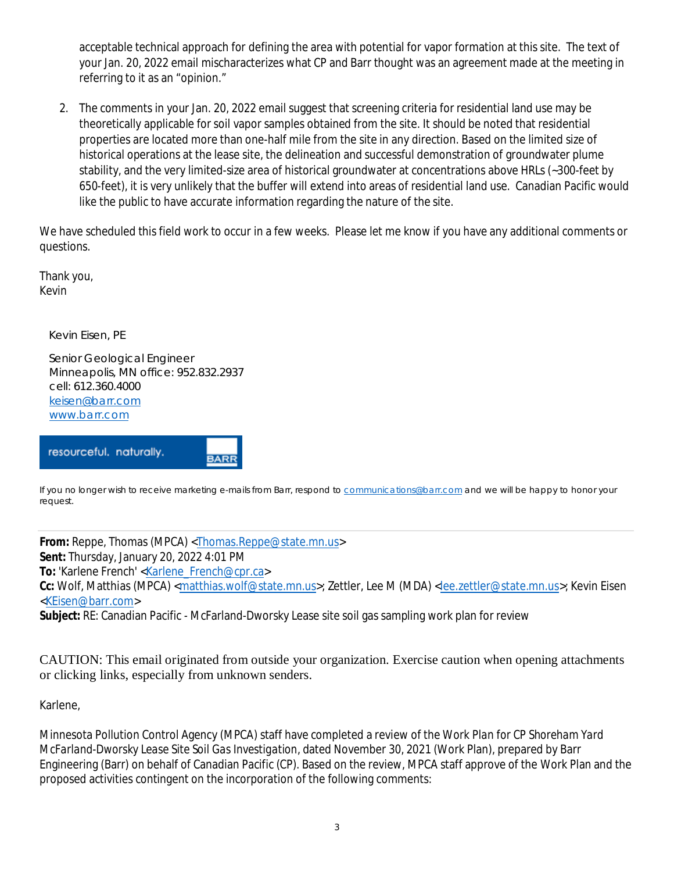acceptable technical approach for defining the area with potential for vapor formation at this site. The text of your Jan. 20, 2022 email mischaracterizes what CP and Barr thought was an agreement made at the meeting in referring to it as an "opinion."

2. The comments in your Jan. 20, 2022 email suggest that screening criteria for residential land use may be theoretically applicable for soil vapor samples obtained from the site. It should be noted that residential properties are located more than one-half mile from the site in any direction. Based on the limited size of historical operations at the lease site, the delineation and successful demonstration of groundwater plume stability, and the very limited-size area of historical groundwater at concentrations above HRLs (~300-feet by 650-feet), it is very unlikely that the buffer will extend into areas of residential land use. Canadian Pacific would like the public to have accurate information regarding the nature of the site.

We have scheduled this field work to occur in a few weeks. Please let me know if you have any additional comments or questions.

Thank you, Kevin

Kevin Eisen, PE

 Senior Geological Engineer Minneapolis, MN office: 952.832.2937 cell: 612.360.4000 keisen@barr.com www.barr.com

**BARR** 

resourceful. naturally.

If you no longer wish to receive marketing e-mails from Barr, respond to communications@barr.com and we will be happy to honor your request.

**From:** Reppe, Thomas (MPCA) <Thomas.Reppe@state.mn.us> **Sent:** Thursday, January 20, 2022 4:01 PM **To:** 'Karlene French' <Karlene\_French@cpr.ca> Cc: Wolf, Matthias (MPCA) <matthias.wolf@state.mn.us>; Zettler, Lee M (MDA) <lee.zettler@state.mn.us>; Kevin Eisen <KEisen@barr.com>

**Subject:** RE: Canadian Pacific - McFarland-Dworsky Lease site soil gas sampling work plan for review

CAUTION: This email originated from outside your organization. Exercise caution when opening attachments or clicking links, especially from unknown senders.

## Karlene,

Minnesota Pollution Control Agency (MPCA) staff have completed a review of the *Work Plan for CP Shoreham Yard McFarland-Dworsky Lease Site Soil Gas Investigation*, dated November 30, 2021 (Work Plan), prepared by Barr Engineering (Barr) on behalf of Canadian Pacific (CP). Based on the review, MPCA staff approve of the Work Plan and the proposed activities contingent on the incorporation of the following comments: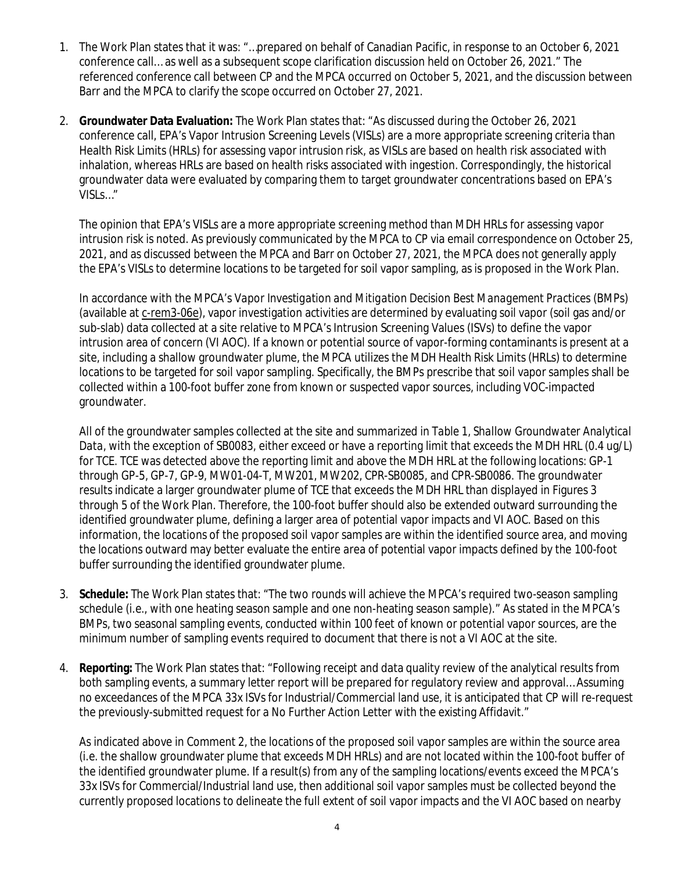- 1. The Work Plan states that it was: "…prepared on behalf of Canadian Pacific, in response to an October 6, 2021 conference call… as well as a subsequent scope clarification discussion held on October 26, 2021." The referenced conference call between CP and the MPCA occurred on October 5, 2021, and the discussion between Barr and the MPCA to clarify the scope occurred on October 27, 2021.
- 2. **Groundwater Data Evaluation:** The Work Plan states that: "As discussed during the October 26, 2021 conference call, EPA's Vapor Intrusion Screening Levels (VISLs) are a more appropriate screening criteria than Health Risk Limits (HRLs) for assessing vapor intrusion risk, as VISLs are based on health risk associated with inhalation, whereas HRLs are based on health risks associated with ingestion. Correspondingly, the historical groundwater data were evaluated by comparing them to target groundwater concentrations based on EPA's VISLs…"

The opinion that EPA's VISLs are a more appropriate screening method than MDH HRLs for assessing vapor intrusion risk is noted. As previously communicated by the MPCA to CP via email correspondence on October 25, 2021, and as discussed between the MPCA and Barr on October 27, 2021, the MPCA does not generally apply the EPA's VISLs to determine locations to be targeted for soil vapor sampling, as is proposed in the Work Plan.

In accordance with the MPCA's *Vapor Investigation and Mitigation Decision Best Management Practices* (BMPs) (available at c-rem3-06e), vapor investigation activities are determined by evaluating soil vapor (soil gas and/or sub-slab) data collected at a site relative to MPCA's Intrusion Screening Values (ISVs) to define the vapor intrusion area of concern (VI AOC). If a known or potential source of vapor-forming contaminants is present at a site, including a shallow groundwater plume, the MPCA utilizes the MDH Health Risk Limits (HRLs) to determine locations to be targeted for soil vapor sampling. Specifically, the BMPs prescribe that soil vapor samples shall be collected within a 100-foot buffer zone from known or suspected vapor sources, including VOC-impacted groundwater.

All of the groundwater samples collected at the site and summarized in *Table 1, Shallow Groundwater Analytical Data*, with the exception of SB0083, either exceed or have a reporting limit that exceeds the MDH HRL (0.4 ug/L) for TCE. TCE was detected above the reporting limit and above the MDH HRL at the following locations: GP-1 through GP-5, GP-7, GP-9, MW01-04-T, MW201, MW202, CPR-SB0085, and CPR-SB0086. The groundwater results indicate a larger groundwater plume of TCE that exceeds the MDH HRL than displayed in Figures 3 through 5 of the Work Plan. Therefore, the 100-foot buffer should also be extended outward surrounding the identified groundwater plume, defining a larger area of potential vapor impacts and VI AOC. Based on this information, the locations of the proposed soil vapor samples are within the identified source area, and moving the locations outward may better evaluate the entire area of potential vapor impacts defined by the 100-foot buffer surrounding the identified groundwater plume.

- 3. **Schedule:** The Work Plan states that: "The two rounds will achieve the MPCA's required two-season sampling schedule (i.e., with one heating season sample and one non-heating season sample)." As stated in the MPCA's BMPs, two seasonal sampling events, conducted within 100 feet of known or potential vapor sources, are the minimum number of sampling events required to document that there is not a VI AOC at the site.
- 4. **Reporting:** The Work Plan states that: "Following receipt and data quality review of the analytical results from both sampling events, a summary letter report will be prepared for regulatory review and approval… Assuming no exceedances of the MPCA 33x ISVs for Industrial/Commercial land use, it is anticipated that CP will re-request the previously-submitted request for a No Further Action Letter with the existing Affidavit."

As indicated above in Comment 2, the locations of the proposed soil vapor samples are within the source area (i.e. the shallow groundwater plume that exceeds MDH HRLs) and are not located within the 100-foot buffer of the identified groundwater plume. If a result(s) from any of the sampling locations/events exceed the MPCA's 33x ISVs for Commercial/Industrial land use, then additional soil vapor samples must be collected beyond the currently proposed locations to delineate the full extent of soil vapor impacts and the VI AOC based on nearby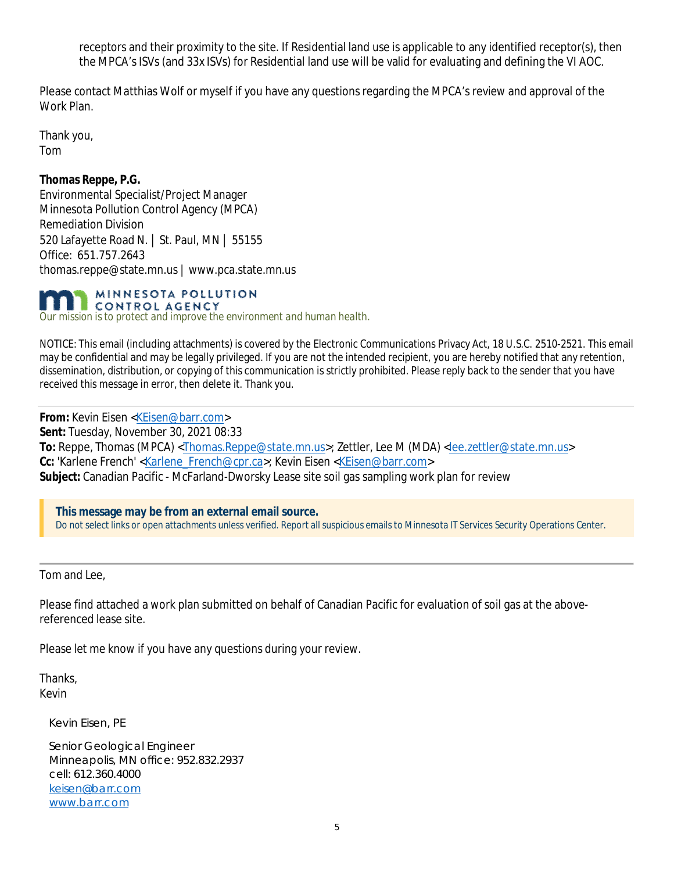receptors and their proximity to the site. If Residential land use is applicable to any identified receptor(s), then the MPCA's ISVs (and 33x ISVs) for Residential land use will be valid for evaluating and defining the VI AOC.

Please contact Matthias Wolf or myself if you have any questions regarding the MPCA's review and approval of the Work Plan.

Thank you, Tom

**Thomas Reppe, P.G.** Environmental Specialist/Project Manager Minnesota Pollution Control Agency (MPCA) Remediation Division 520 Lafayette Road N. | St. Paul, MN | 55155 Office: 651.757.2643 thomas.reppe@state.mn.us | www.pca.state.mn.us

MINNESOTA POLLUTION **ECONTROL AGENCY** *Our mission is to protect and improve the environment and human health.*

NOTICE: This email (including attachments) is covered by the Electronic Communications Privacy Act, 18 U.S.C. 2510-2521. This email may be confidential and may be legally privileged. If you are not the intended recipient, you are hereby notified that any retention, dissemination, distribution, or copying of this communication is strictly prohibited. Please reply back to the sender that you have received this message in error, then delete it. Thank you.

**From:** Kevin Eisen <KEisen@barr.com> **Sent:** Tuesday, November 30, 2021 08:33 **To:** Reppe, Thomas (MPCA) <Thomas.Reppe@state.mn.us>; Zettler, Lee M (MDA) <lee.zettler@state.mn.us> **Cc:** 'Karlene French' <Karlene\_French@cpr.ca>; Kevin Eisen <KEisen@barr.com> **Subject:** Canadian Pacific - McFarland-Dworsky Lease site soil gas sampling work plan for review

**This message may be from an external email source.** Do not select links or open attachments unless verified. Report all suspicious emails to Minnesota IT Services Security Operations Center.

Tom and Lee,

Please find attached a work plan submitted on behalf of Canadian Pacific for evaluation of soil gas at the abovereferenced lease site.

Please let me know if you have any questions during your review.

Thanks, Kevin

Kevin Eisen, PE

 Senior Geological Engineer Minneapolis, MN office: 952.832.2937 cell: 612.360.4000 keisen@barr.com www.barr.com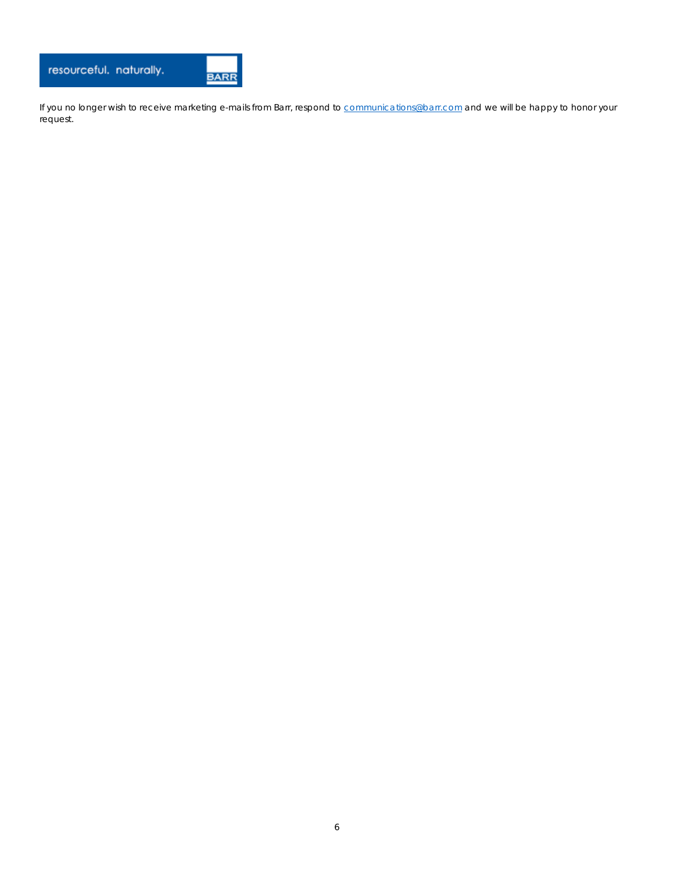

If you no longer wish to receive marketing e-mails from Barr, respond to **communications@barr.com** and we will be happy to honor your request.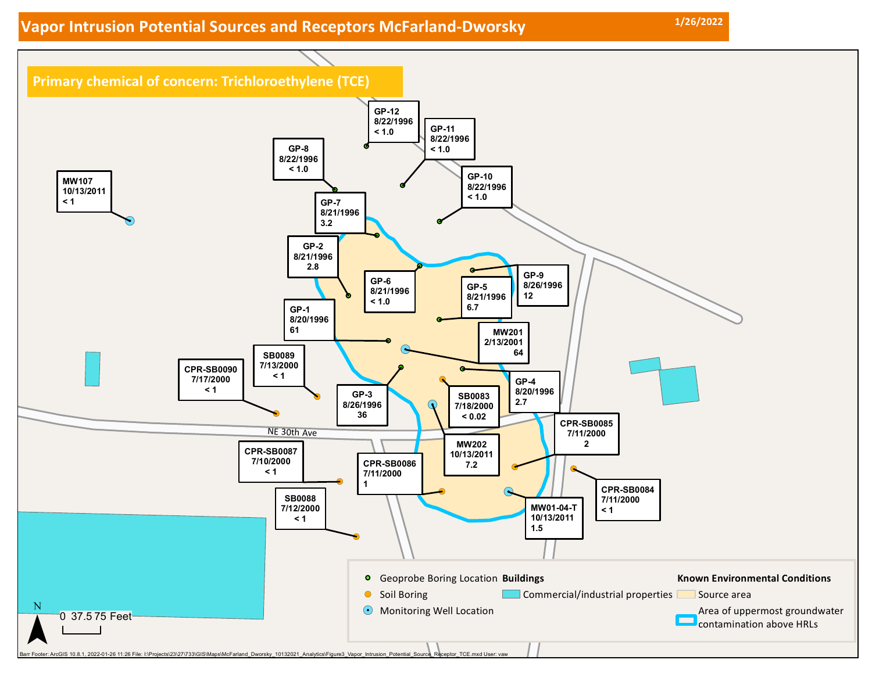## **Vapor Intrusion Potential Sources and Receptors McFarland-Dworsky 1/26/2022**